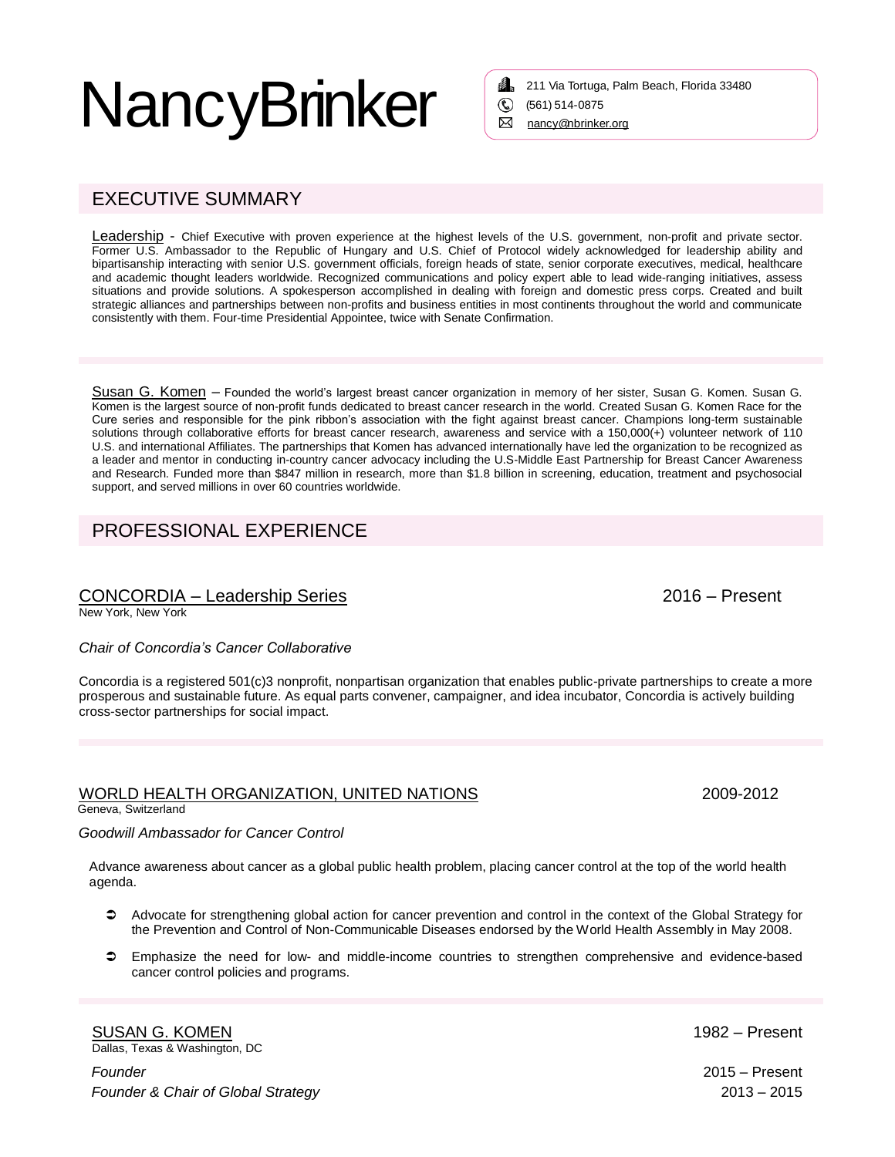- 
- (561) 514-0875
- nancy@nbrinker.org

## EXECUTIVE SUMMARY

Leadership - Chief Executive with proven experience at the highest levels of the U.S. government, non-profit and private sector. Former U.S. Ambassador to the Republic of Hungary and U.S. Chief of Protocol widely acknowledged for leadership ability and bipartisanship interacting with senior U.S. government officials, foreign heads of state, senior corporate executives, medical, healthcare and academic thought leaders worldwide. Recognized communications and policy expert able to lead wide-ranging initiatives, assess situations and provide solutions. A spokesperson accomplished in dealing with foreign and domestic press corps. Created and built strategic alliances and partnerships between non-profits and business entities in most continents throughout the world and communicate consistently with them. Four-time Presidential Appointee, twice with Senate Confirmation.

Susan G. Komen - Founded the world's largest breast cancer organization in memory of her sister, Susan G. Komen. Susan G. Komen is the largest source of non-profit funds dedicated to breast cancer research in the world. Created Susan G. Komen Race for the Cure series and responsible for the pink ribbon's association with the fight against breast cancer. Champions long-term sustainable solutions through collaborative efforts for breast cancer research, awareness and service with a 150,000(+) volunteer network of 110 U.S. and international Affiliates. The partnerships that Komen has advanced internationally have led the organization to be recognized as a leader and mentor in conducting in-country cancer advocacy including the U.S-Middle East Partnership for Breast Cancer Awareness and Research. Funded more than \$847 million in research, more than \$1.8 billion in screening, education, treatment and psychosocial support, and served millions in over 60 countries worldwide. **FOUNDER SUMMARY**<br> **FOUNDER SUMMARY**<br> **EXECUTIVE SUMMARY**<br> **FOUNDER SUMMARY**<br> **EXECUTIVE SUMMARY**<br> **EXECUTIVE SUMMARY**<br> **EXECUTIVE SUMMARY**<br> **EXECUTIVE SUMMARY**<br> **EXECUTIVE SUMMARY**<br> **EXECUTIVE SUMMARY**<br> **EXECUTIVE SUMMARY** 

# PROFESSIONAL EXPERIENCE

### CONCORDIA – Leadership Series 2016 – Present

New York, New York

#### *Chair of Concordia's Cancer Collaborative*

Concordia is a registered 501(c)3 nonprofit, nonpartisan organization that enables public-private partnerships to create a more prosperous and sustainable future. As equal parts convener, campaigner, and idea incubator, Concordia is actively building cross-sector partnerships for social impact.

#### WORLD HEALTH ORGANIZATION, UNITED NATIONS

Geneva, Switzerland

#### *Goodwill Ambassador for Cancer Control*

Advance awareness about cancer as a global public health problem, placing cancer control at the top of the world health agenda.

- Advocate for strengthening global action for cancer prevention and control in the context of the Global Strategy for the Prevention and Control of Non-Communicable Diseases endorsed by the World Health Assembly in May 2008.
- Emphasize the need for low- and middle-income countries to strengthen comprehensive and evidence-based cancer control policies and programs.

SUSAN G. KOMEN Dallas, Texas & Washington, DC

*Founder* 2015 – Present

1982 – Present

2009-2012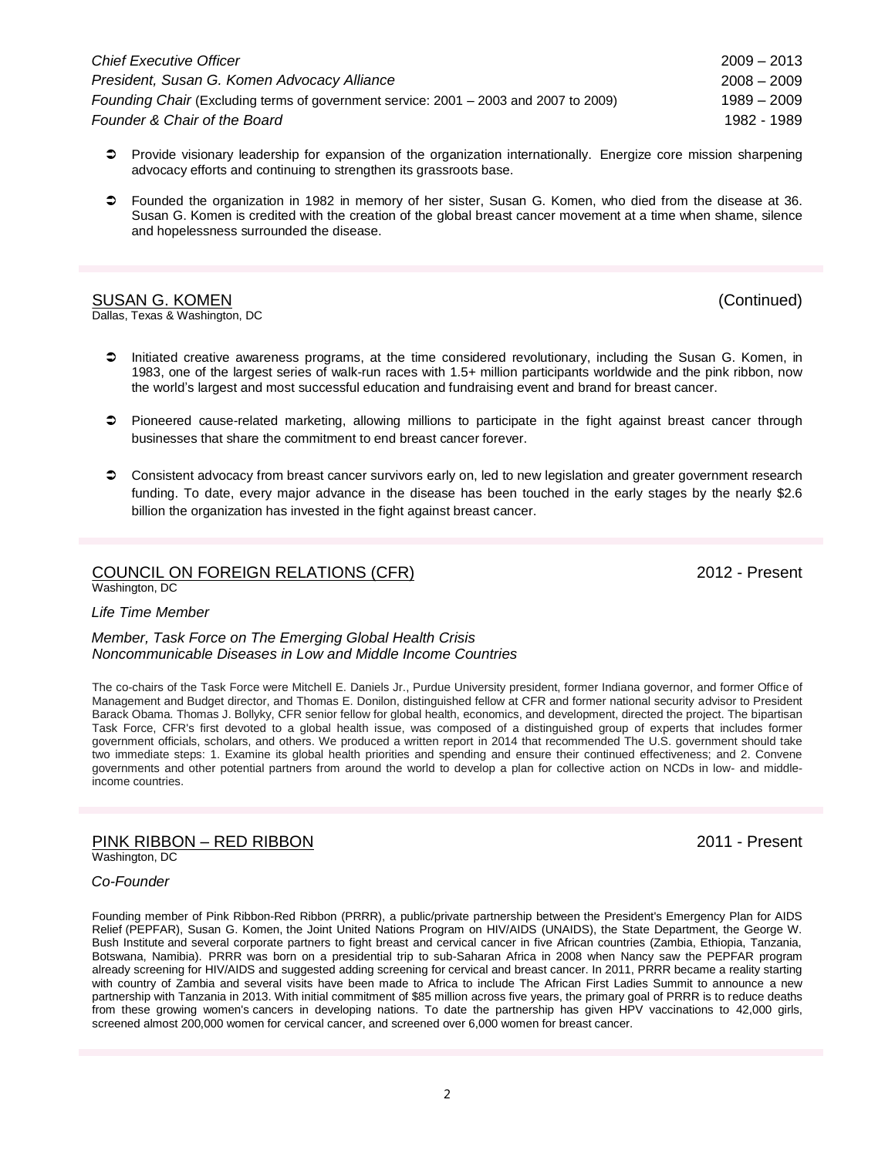| <b>Chief Executive Officer</b>                                                       | $2009 - 2013$ |
|--------------------------------------------------------------------------------------|---------------|
| President, Susan G. Komen Advocacy Alliance                                          | 2008 – 2009   |
| Founding Chair (Excluding terms of government service: 2001 – 2003 and 2007 to 2009) | 1989 - 2009   |
| Founder & Chair of the Board                                                         | 1982 - 1989   |

- Provide visionary leadership for expansion of the organization internationally. Energize core mission sharpening advocacy efforts and continuing to strengthen its grassroots base.
- Founded the organization in 1982 in memory of her sister, Susan G. Komen, who died from the disease at 36. Susan G. Komen is credited with the creation of the global breast cancer movement at a time when shame, silence and hopelessness surrounded the disease.

#### <u>SUSAN G. KOMEN</u>

Dallas, Texas & Washington, DC

- Initiated creative awareness programs, at the time considered revolutionary, including the Susan G. Komen, in 1983, one of the largest series of walk-run races with 1.5+ million participants worldwide and the pink ribbon, now the world's largest and most successful education and fundraising event and brand for breast cancer.
- Pioneered cause-related marketing, allowing millions to participate in the fight against breast cancer through businesses that share the commitment to end breast cancer forever.
- Consistent advocacy from breast cancer survivors early on, led to new legislation and greater government research funding. To date, every major advance in the disease has been touched in the early stages by the nearly \$2.6 billion the organization has invested in the fight against breast cancer.

### COUNCIL ON FOREIGN RELATIONS (CFR)

Washington, DC

#### *Life Time Member*

#### *Member, Task Force on The Emerging Global Health Crisis Noncommunicable Diseases in Low and Middle Income Countries*

The co-chairs of the Task Force were Mitchell E. Daniels Jr., Purdue University president, former Indiana governor, and former Office of Management and Budget director, and Thomas E. Donilon, distinguished fellow at CFR and former national security advisor to President Barack Obama. Thomas J. Bollyky, CFR senior fellow for global health, economics, and development, directed the project. The bipartisan Task Force, CFR's first devoted to a global health issue, was composed of a distinguished group of experts that includes former government officials, scholars, and others. We produced a written report in 2014 that recommended The U.S. government should take two immediate steps: 1. Examine its global health priorities and spending and ensure their continued effectiveness; and 2. Convene governments and other potential partners from around the world to develop a plan for collective action on NCDs in low- and middleincome countries.

#### PINK RIBBON – RED RIBBON

Washington, DC

#### *Co-Founder*

Founding member of Pink Ribbon-Red Ribbon (PRRR), a public/private partnership between the President's Emergency Plan for AIDS Relief (PEPFAR), Susan G. Komen, the Joint United Nations Program on HIV/AIDS (UNAIDS), the State Department, the George W. Bush Institute and several corporate partners to fight breast and cervical cancer in five African countries (Zambia, Ethiopia, Tanzania, Botswana, Namibia). PRRR was born on a presidential trip to sub-Saharan Africa in 2008 when Nancy saw the PEPFAR program already screening for HIV/AIDS and suggested adding screening for cervical and breast cancer. In 2011, PRRR became a reality starting with country of Zambia and several visits have been made to Africa to include The African First Ladies Summit to announce a new partnership with Tanzania in 2013. With initial commitment of \$85 million across five years, the primary goal of PRRR is to reduce deaths from these growing women's cancers in developing nations. To date the partnership has given HPV vaccinations to 42,000 girls, screened almost 200,000 women for cervical cancer, and screened over 6,000 women for breast cancer.

2012 - Present

(Continued)

2011 - Present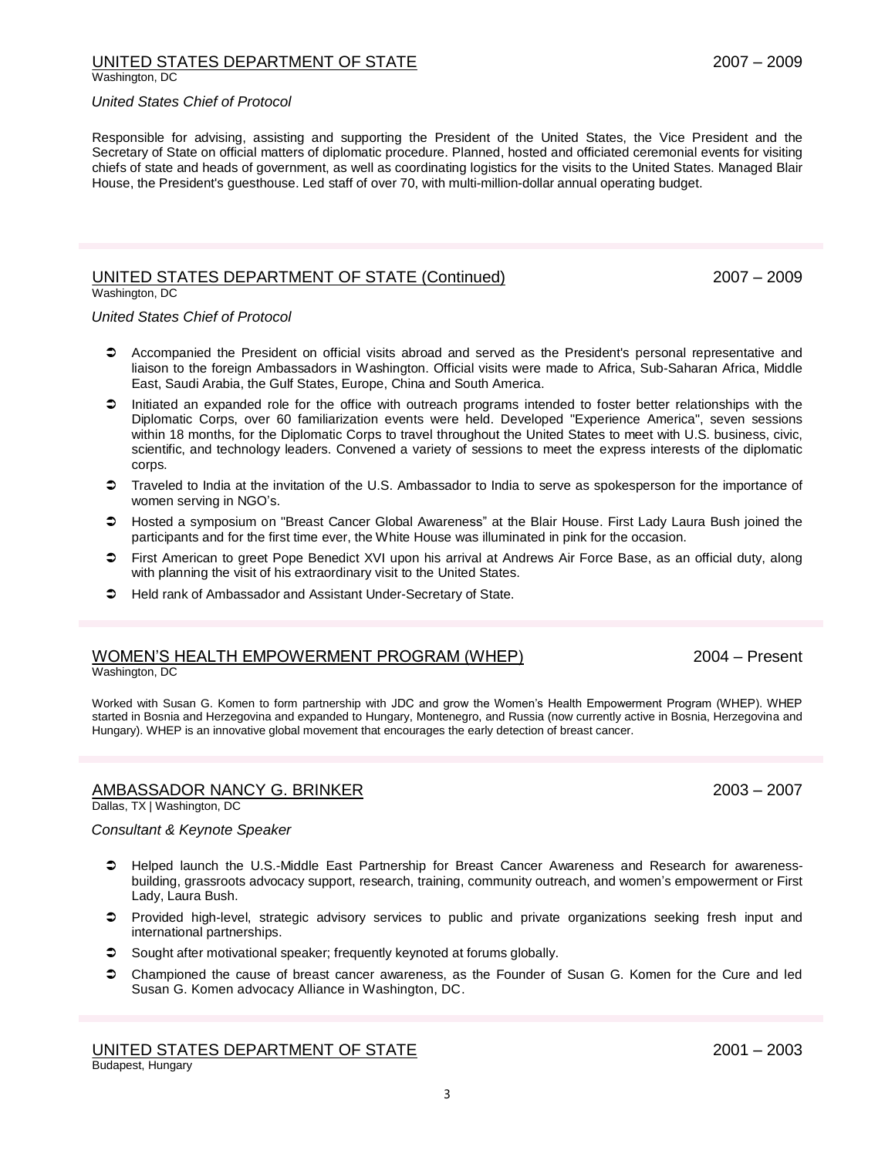UNITED STATES DEPARTMENT OF STATE

Washington, DC

#### *United States Chief of Protocol*

Responsible for advising, assisting and supporting the President of the United States, the Vice President and the Secretary of State on official matters of diplomatic procedure. Planned, hosted and officiated ceremonial events for visiting chiefs of state and heads of government, as well as coordinating logistics for the visits to the United States. Managed Blair House, the President's guesthouse. Led staff of over 70, with multi-million-dollar annual operating budget.

# UNITED STATES DEPARTMENT OF STATE (Continued)

2007 – 2009

Washington, DC

#### *United States Chief of Protocol*

- Accompanied the President on official visits abroad and served as the President's personal representative and liaison to the foreign Ambassadors in Washington. Official visits were made to Africa, Sub-Saharan Africa, Middle East, Saudi Arabia, the Gulf States, Europe, China and South America.
- Initiated an expanded role for the office with outreach programs intended to foster better relationships with the Diplomatic Corps, over 60 familiarization events were held. Developed "Experience America", seven sessions within 18 months, for the Diplomatic Corps to travel throughout the United States to meet with U.S. business, civic, scientific, and technology leaders. Convened a variety of sessions to meet the express interests of the diplomatic corps.
- Traveled to India at the invitation of the U.S. Ambassador to India to serve as spokesperson for the importance of women serving in NGO's.
- Hosted a symposium on "Breast Cancer Global Awareness" at the Blair House. First Lady Laura Bush joined the participants and for the first time ever, the White House was illuminated in pink for the occasion.
- First American to greet Pope Benedict XVI upon his arrival at Andrews Air Force Base, as an official duty, along with planning the visit of his extraordinary visit to the United States.
- $\supset$  Held rank of Ambassador and Assistant Under-Secretary of State.

#### WOMEN'S HEALTH EMPOWERMENT PROGRAM (WHEP) Washington, DC

Worked with Susan G. Komen to form partnership with JDC and grow the Women's Health Empowerment Program (WHEP). WHEP started in Bosnia and Herzegovina and expanded to Hungary, Montenegro, and Russia (now currently active in Bosnia, Herzegovina and Hungary). WHEP is an innovative global movement that encourages the early detection of breast cancer.

#### AMBASSADOR NANCY G. BRINKER

Dallas, TX | Washington, DC

#### *Consultant & Keynote Speaker*

- Helped launch the U.S.-Middle East Partnership for Breast Cancer Awareness and Research for awarenessbuilding, grassroots advocacy support, research, training, community outreach, and women's empowerment or First Lady, Laura Bush.
- Provided high-level, strategic advisory services to public and private organizations seeking fresh input and international partnerships.
- $\supset$  Sought after motivational speaker; frequently keynoted at forums globally.
- Championed the cause of breast cancer awareness, as the Founder of Susan G. Komen for the Cure and led Susan G. Komen advocacy Alliance in Washington, DC.

UNITED STATES DEPARTMENT OF STATE Budapest, Hungary

2001 – 2003

2003 – 2007

2004 – Present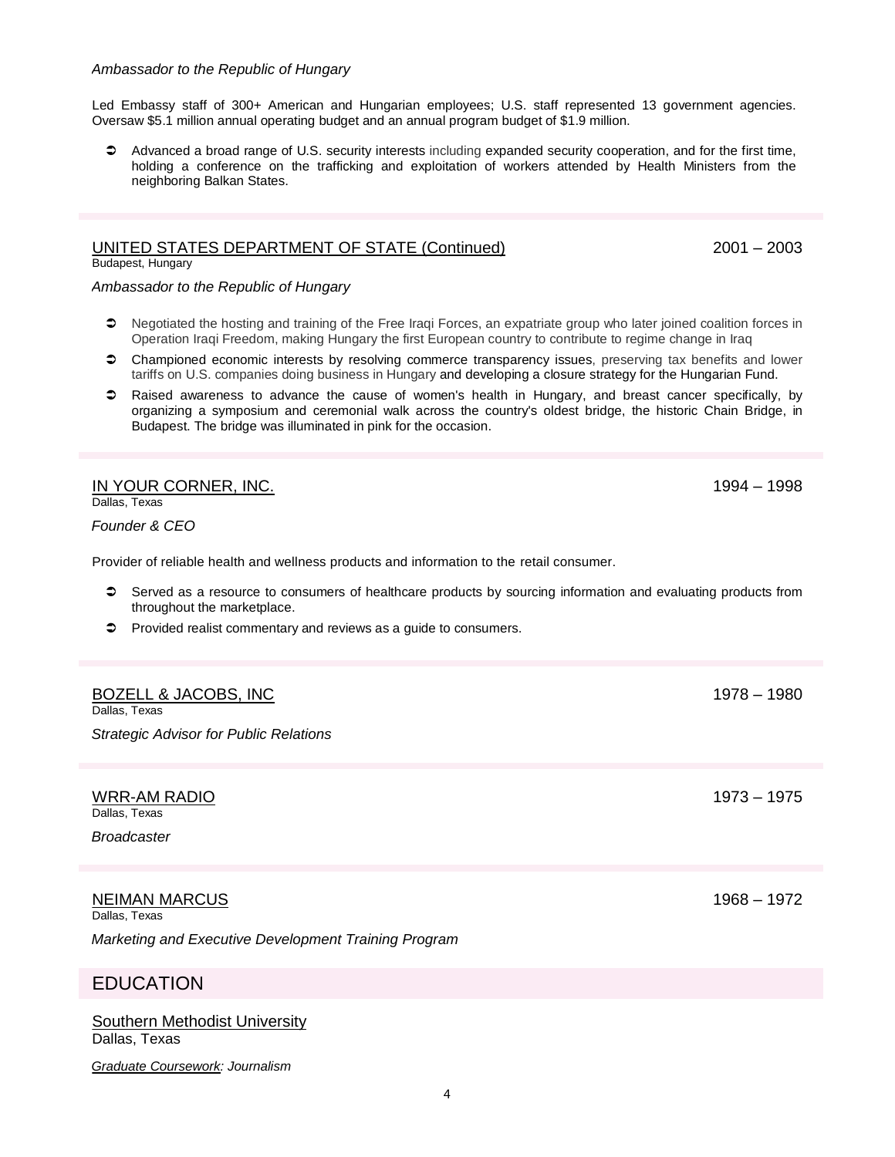#### NEIMAN MARCUS Dallas, Texas

*Marketing and Executive Development Training Program*

# EDUCATION

Southern Methodist University Dallas, Texas

*Graduate Coursework: Journalism*

### *Ambassador to the Republic of Hungary*

Led Embassy staff of 300+ American and Hungarian employees; U.S. staff represented 13 government agencies. Oversaw \$5.1 million annual operating budget and an annual program budget of \$1.9 million.

 Advanced a broad range of U.S. security interests including expanded security cooperation, and for the first time, holding a conference on the trafficking and exploitation of workers attended by Health Ministers from the neighboring Balkan States.

# UNITED STATES DEPARTMENT OF STATE (Continued)

Budapest, Hungary

*Ambassador to the Republic of Hungary*

- Negotiated the hosting and training of the Free Iraqi Forces, an expatriate group who later joined coalition forces in Operation Iraqi Freedom, making Hungary the first European country to contribute to regime change in Iraq
- Championed economic interests by resolving commerce transparency issues, preserving tax benefits and lower tariffs on U.S. companies doing business in Hungary and developing a closure strategy for the Hungarian Fund.
- Raised awareness to advance the cause of women's health in Hungary, and breast cancer specifically, by organizing a symposium and ceremonial walk across the country's oldest bridge, the historic Chain Bridge, in Budapest. The bridge was illuminated in pink for the occasion.

# IN YOUR CORNER, INC.

Dallas, Texas

Dallas, Texas

*Founder & CEO*

Provider of reliable health and wellness products and information to the retail consumer.

- Served as a resource to consumers of healthcare products by sourcing information and evaluating products from throughout the marketplace.
- **Provided realist commentary and reviews as a guide to consumers.**

| I |
|---|
|   |
|   |

*Strategic Advisor for Public Relations*

BOZELL & JACOBS, INC

WRR-AM RADIO Dallas, Texas

1968 – 1972

1994 – 1998

2001 – 2003

*Broadcaster*

1973 – 1975

1978 – 1980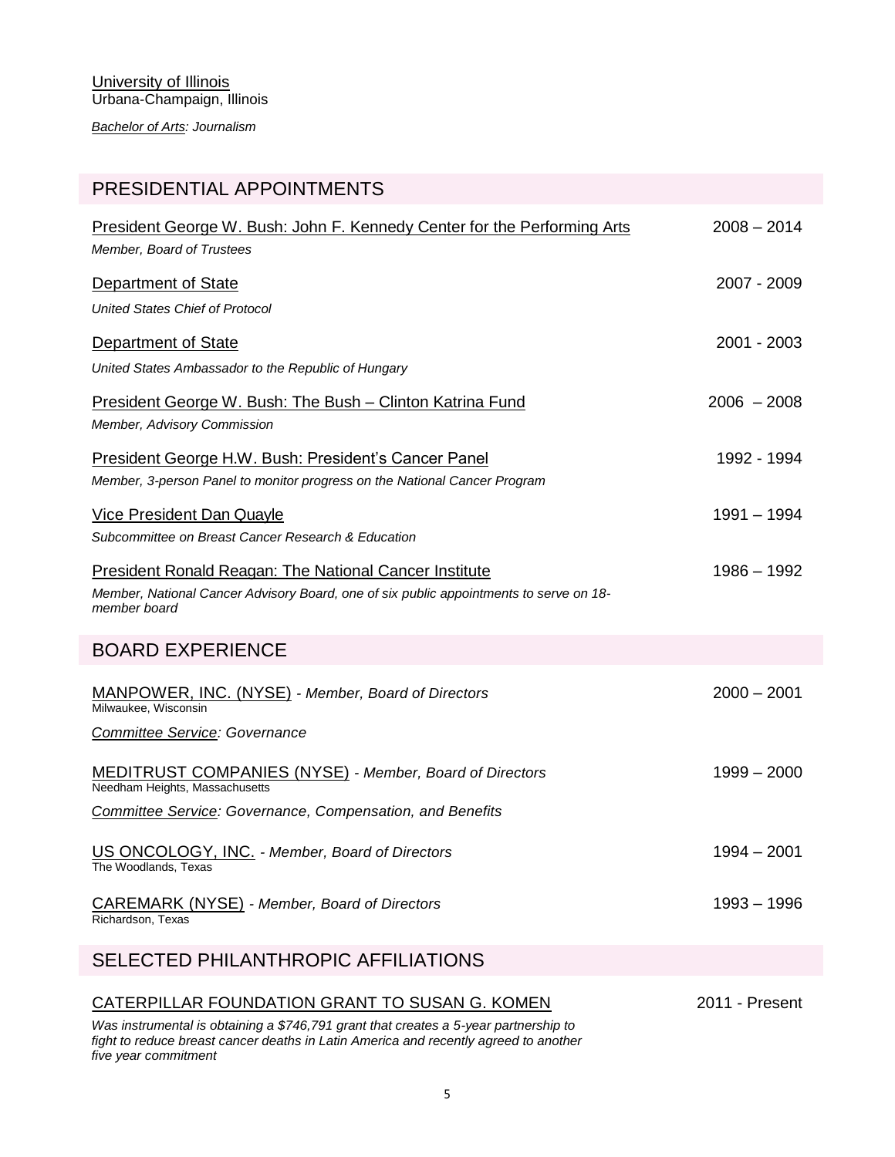*Bachelor of Arts: Journalism*

| PRESIDENTIAL APPOINTMENTS                                                                                                                                        |                |
|------------------------------------------------------------------------------------------------------------------------------------------------------------------|----------------|
| President George W. Bush: John F. Kennedy Center for the Performing Arts<br>Member, Board of Trustees                                                            | $2008 - 2014$  |
| Department of State<br><b>United States Chief of Protocol</b>                                                                                                    | 2007 - 2009    |
| Department of State<br>United States Ambassador to the Republic of Hungary                                                                                       | 2001 - 2003    |
| President George W. Bush: The Bush - Clinton Katrina Fund<br>Member, Advisory Commission                                                                         | $2006 - 2008$  |
| <b>President George H.W. Bush: President's Cancer Panel</b><br>Member, 3-person Panel to monitor progress on the National Cancer Program                         | 1992 - 1994    |
| Vice President Dan Quayle<br>Subcommittee on Breast Cancer Research & Education                                                                                  | $1991 - 1994$  |
| President Ronald Reagan: The National Cancer Institute<br>Member, National Cancer Advisory Board, one of six public appointments to serve on 18-<br>member board | 1986 - 1992    |
| <b>BOARD EXPERIENCE</b>                                                                                                                                          |                |
| MANPOWER, INC. (NYSE) - Member, Board of Directors<br>Milwaukee, Wisconsin<br><b>Committee Service: Governance</b>                                               | $2000 - 2001$  |
| <b>MEDITRUST COMPANIES (NYSE)</b> - Member, Board of Directors<br>Needham Heights, Massachusetts<br>Committee Service: Governance, Compensation, and Benefits    | $1999 - 2000$  |
| US ONCOLOGY, INC. - Member, Board of Directors<br>The Woodlands, Texas                                                                                           | $1994 - 2001$  |
| CAREMARK (NYSE) - Member, Board of Directors<br>Richardson, Texas                                                                                                | $1993 - 1996$  |
| SELECTED PHILANTHROPIC AFFILIATIONS                                                                                                                              |                |
| CATERPILLAR FOUNDATION GRANT TO SUSAN G. KOMEN                                                                                                                   | 2011 - Present |

*Was instrumental is obtaining a \$746,791 grant that creates a 5-year partnership to fight to reduce breast cancer deaths in Latin America and recently agreed to another five year commitment*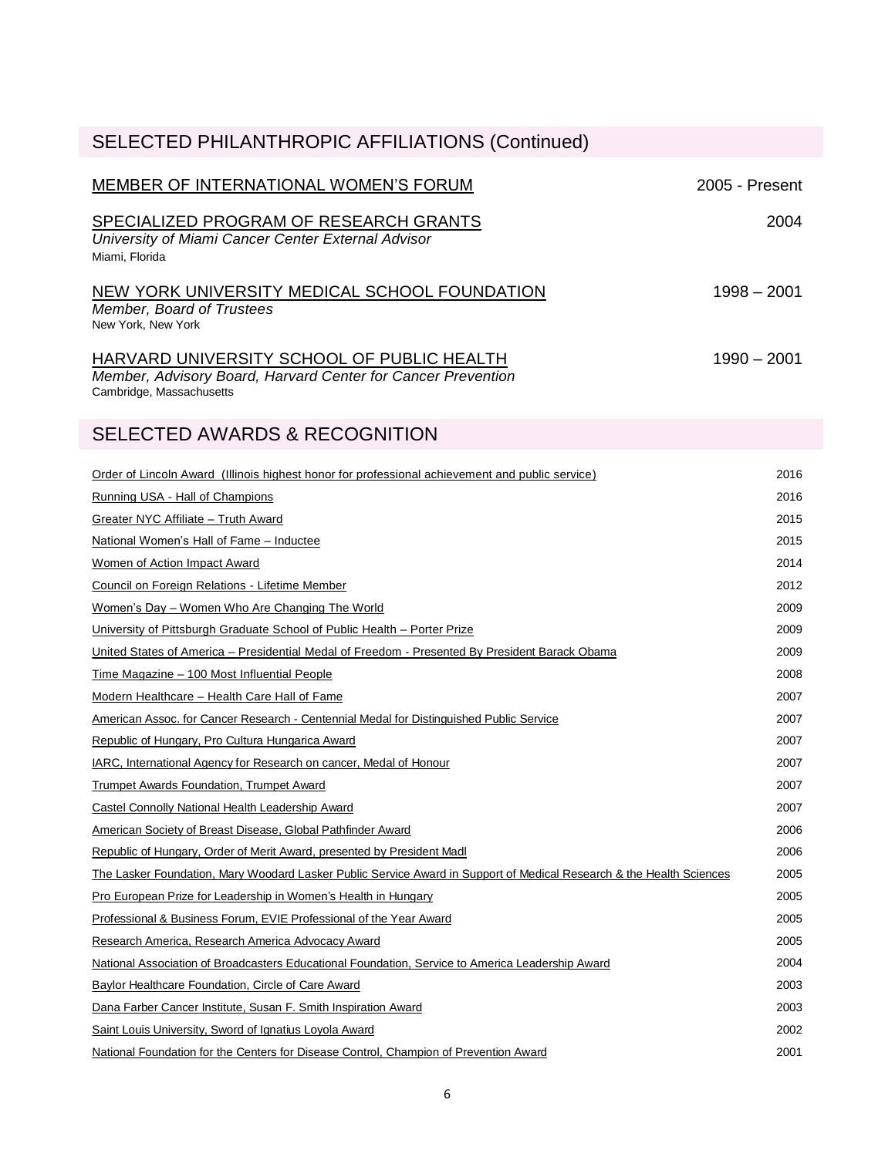| SELECTED PHILANTHROPIC AFFILIATIONS (Continued)                                                                                        |                |
|----------------------------------------------------------------------------------------------------------------------------------------|----------------|
| MEMBER OF INTERNATIONAL WOMEN'S FORUM                                                                                                  | 2005 - Present |
| SPECIALIZED PROGRAM OF RESEARCH GRANTS<br>University of Miami Cancer Center External Advisor<br>Miami, Florida                         | 2004           |
| NEW YORK UNIVERSITY MEDICAL SCHOOL FOUNDATION<br>Member, Board of Trustees<br>New York, New York                                       | $1998 - 2001$  |
| HARVARD UNIVERSITY SCHOOL OF PUBLIC HEALTH<br>Member, Advisory Board, Harvard Center for Cancer Prevention<br>Cambridge, Massachusetts | $1990 - 2001$  |

# SELECTED AWARDS & RECOGNITION

| Order of Lincoln Award (Illinois highest honor for professional achievement and public service)                      | 2016 |
|----------------------------------------------------------------------------------------------------------------------|------|
| Running USA - Hall of Champions                                                                                      | 2016 |
| Greater NYC Affiliate - Truth Award                                                                                  | 2015 |
| National Women's Hall of Fame - Inductee                                                                             | 2015 |
| Women of Action Impact Award                                                                                         | 2014 |
| Council on Foreign Relations - Lifetime Member                                                                       | 2012 |
| Women's Day - Women Who Are Changing The World                                                                       | 2009 |
| University of Pittsburgh Graduate School of Public Health - Porter Prize                                             | 2009 |
| United States of America - Presidential Medal of Freedom - Presented By President Barack Obama                       | 2009 |
| Time Magazine - 100 Most Influential People                                                                          | 2008 |
| Modern Healthcare - Health Care Hall of Fame                                                                         | 2007 |
| American Assoc. for Cancer Research - Centennial Medal for Distinguished Public Service                              | 2007 |
| Republic of Hungary, Pro Cultura Hungarica Award                                                                     | 2007 |
| IARC, International Agency for Research on cancer, Medal of Honour                                                   | 2007 |
| Trumpet Awards Foundation, Trumpet Award                                                                             | 2007 |
| Castel Connolly National Health Leadership Award                                                                     | 2007 |
| American Society of Breast Disease, Global Pathfinder Award                                                          | 2006 |
| Republic of Hungary, Order of Merit Award, presented by President Madl                                               | 2006 |
| The Lasker Foundation, Mary Woodard Lasker Public Service Award in Support of Medical Research & the Health Sciences | 2005 |
| Pro European Prize for Leadership in Women's Health in Hungary                                                       | 2005 |
| Professional & Business Forum, EVIE Professional of the Year Award                                                   | 2005 |
| Research America, Research America Advocacy Award                                                                    | 2005 |
| National Association of Broadcasters Educational Foundation, Service to America Leadership Award                     | 2004 |
| Baylor Healthcare Foundation, Circle of Care Award                                                                   | 2003 |
| Dana Farber Cancer Institute, Susan F. Smith Inspiration Award                                                       | 2003 |
| Saint Louis University, Sword of Ignatius Loyola Award                                                               | 2002 |
| National Foundation for the Centers for Disease Control, Champion of Prevention Award                                | 2001 |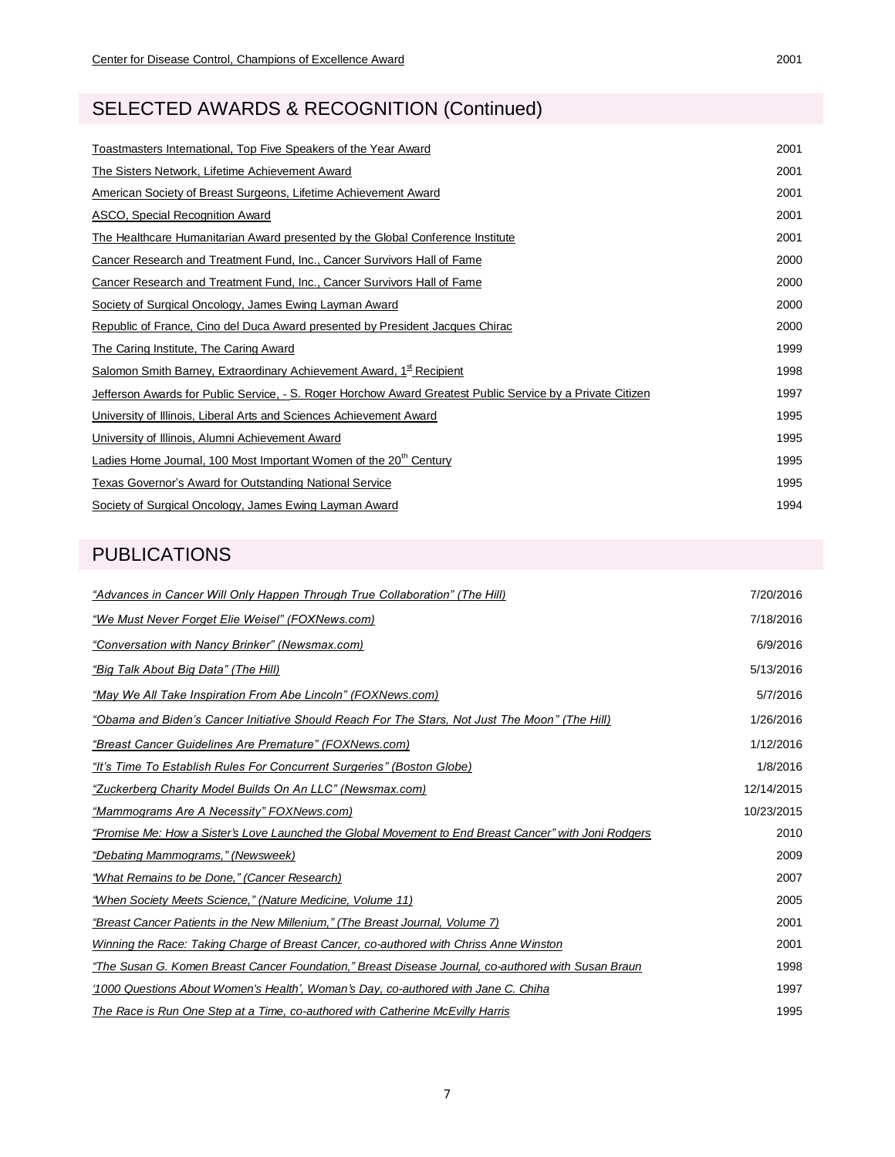# SELECTED AWARDS & RECOGNITION (Continued)

| Toastmasters International, Top Five Speakers of the Year Award                                            | 2001 |
|------------------------------------------------------------------------------------------------------------|------|
| The Sisters Network, Lifetime Achievement Award                                                            | 2001 |
| American Society of Breast Surgeons, Lifetime Achievement Award                                            | 2001 |
| ASCO, Special Recognition Award                                                                            | 2001 |
| The Healthcare Humanitarian Award presented by the Global Conference Institute                             | 2001 |
| Cancer Research and Treatment Fund, Inc., Cancer Survivors Hall of Fame                                    | 2000 |
| Cancer Research and Treatment Fund, Inc., Cancer Survivors Hall of Fame                                    | 2000 |
| Society of Surgical Oncology, James Ewing Layman Award                                                     | 2000 |
| Republic of France, Cino del Duca Award presented by President Jacques Chirac                              | 2000 |
| The Caring Institute, The Caring Award                                                                     | 1999 |
| Salomon Smith Barney, Extraordinary Achievement Award, 1st Recipient                                       | 1998 |
| Jefferson Awards for Public Service, - S. Roger Horchow Award Greatest Public Service by a Private Citizen | 1997 |
| University of Illinois, Liberal Arts and Sciences Achievement Award                                        | 1995 |
| University of Illinois, Alumni Achievement Award                                                           | 1995 |
| Ladies Home Journal, 100 Most Important Women of the 20 <sup>th</sup> Century                              | 1995 |
| Texas Governor's Award for Outstanding National Service                                                    | 1995 |
| Society of Surgical Oncology, James Ewing Layman Award                                                     | 1994 |

# PUBLICATIONS

| "Advances in Cancer Will Only Happen Through True Collaboration" (The Hill)                           | 7/20/2016  |
|-------------------------------------------------------------------------------------------------------|------------|
| "We Must Never Forget Elie Weisel" (FOXNews.com)                                                      | 7/18/2016  |
| "Conversation with Nancy Brinker" (Newsmax.com)                                                       | 6/9/2016   |
| "Big Talk About Big Data" (The Hill)                                                                  | 5/13/2016  |
| "May We All Take Inspiration From Abe Lincoln" (FOXNews.com)                                          | 5/7/2016   |
| "Obama and Biden's Cancer Initiative Should Reach For The Stars, Not Just The Moon" (The Hill)        | 1/26/2016  |
| "Breast Cancer Guidelines Are Premature" (FOXNews.com)                                                | 1/12/2016  |
| "It's Time To Establish Rules For Concurrent Surgeries" (Boston Globe)                                | 1/8/2016   |
| "Zuckerberg Charity Model Builds On An LLC" (Newsmax.com)                                             | 12/14/2015 |
| "Mammograms Are A Necessity" FOXNews.com)                                                             | 10/23/2015 |
| "Promise Me: How a Sister's Love Launched the Global Movement to End Breast Cancer" with Joni Rodgers | 2010       |
| "Debating Mammograms," (Newsweek)                                                                     | 2009       |
| "What Remains to be Done," (Cancer Research)                                                          | 2007       |
| "When Society Meets Science," (Nature Medicine, Volume 11)                                            | 2005       |
| "Breast Cancer Patients in the New Millenium," (The Breast Journal, Volume 7)                         | 2001       |
| Winning the Race: Taking Charge of Breast Cancer, co-authored with Chriss Anne Winston                | 2001       |
| "The Susan G. Komen Breast Cancer Foundation," Breast Disease Journal, co-authored with Susan Braun   | 1998       |
| '1000 Questions About Women's Health', Woman's Day, co-authored with Jane C. Chiha                    | 1997       |
| The Race is Run One Step at a Time, co-authored with Catherine McEvilly Harris                        | 1995       |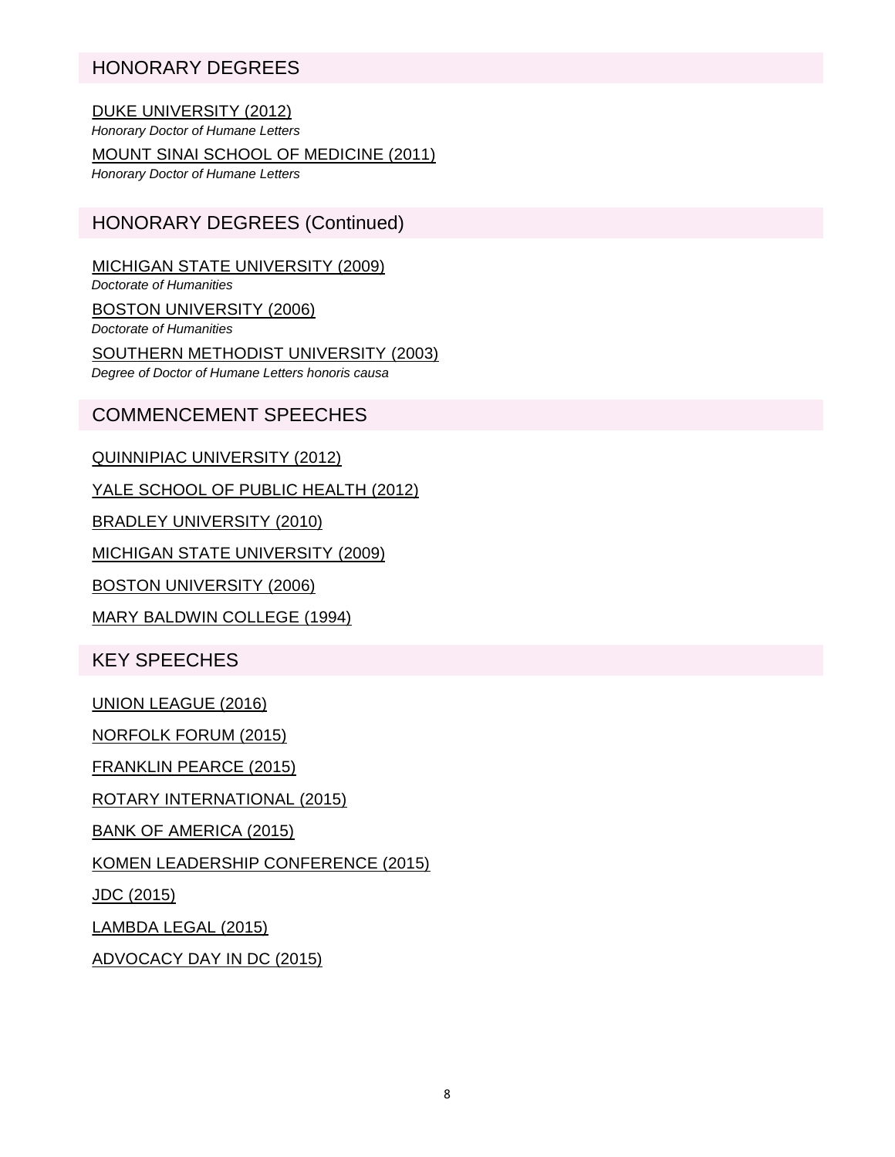# HONORARY DEGREES

DUKE UNIVERSITY (2012)

*Honorary Doctor of Humane Letters*

MOUNT SINAI SCHOOL OF MEDICINE (2011)

*Honorary Doctor of Humane Letters*

# HONORARY DEGREES (Continued)

MICHIGAN STATE UNIVERSITY (2009) *Doctorate of Humanities* BOSTON UNIVERSITY (2006) *Doctorate of Humanities* SOUTHERN METHODIST UNIVERSITY (2003)

*Degree of Doctor of Humane Letters honoris causa*

## COMMENCEMENT SPEECHES

QUINNIPIAC UNIVERSITY (2012)

YALE SCHOOL OF PUBLIC HEALTH (2012)

BRADLEY UNIVERSITY (2010)

MICHIGAN STATE UNIVERSITY (2009)

BOSTON UNIVERSITY (2006)

MARY BALDWIN COLLEGE (1994)

KEY SPEECHES

UNION LEAGUE (2016)

NORFOLK FORUM (2015)

FRANKLIN PEARCE (2015)

ROTARY INTERNATIONAL (2015)

BANK OF AMERICA (2015)

KOMEN LEADERSHIP CONFERENCE (2015)

JDC (2015)

LAMBDA LEGAL (2015)

### ADVOCACY DAY IN DC (2015)